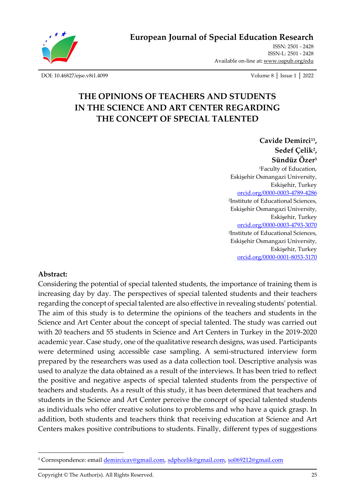

**European Journal of Special Education Research**

ISSN: 2501 - 2428 ISSN-L: 2501 - 2428 Available on-line at**:** [www.oapub.org/edu](http://www.oapub.org/edu)

[DOI: 10.46827/ejse.v8i1.4099](http://dx.doi.org/10.46827/ejse.v8i1.4099) Volume 8 │ Issue 1 │ 2022

# **THE OPINIONS OF TEACHERS AND STUDENTS IN THE SCIENCE AND ART CENTER REGARDING THE CONCEPT OF SPECIAL TALENTED**

**Cavide Demirci<sup>11</sup> , Sedef Çelik<sup>2</sup> , Sündüz Özer<sup>3</sup>** <sup>1</sup>Faculty of Education, Eskişehir Osmangazi University, Eskişehir, Turkey [orcid.org/0000-0003-4789-4286](https://orcid.org/0000-0003-4789-4286) 2 Institute of Educational Sciences, Eskişehir Osmangazi University, Eskişehir, Turkey [orcid.org/0000-0003-4793-3070](https://orcid.org/0000-0003-4793-3070) 3 Institute of Educational Sciences, Eskişehir Osmangazi University, Eskişehir, Turkey [orcid.org/0000-0001-8053-3170](https://orcid.org/0000-0001-8053-3170)

#### **Abstract:**

Considering the potential of special talented students, the importance of training them is increasing day by day. The perspectives of special talented students and their teachers regarding the concept of special talented are also effective in revealing students' potential. The aim of this study is to determine the opinions of the teachers and students in the Science and Art Center about the concept of special talented. The study was carried out with 20 teachers and 55 students in Science and Art Centers in Turkey in the 2019-2020 academic year. Case study, one of the qualitative research designs, was used. Participants were determined using accessible case sampling. A semi-structured interview form prepared by the researchers was used as a data collection tool. Descriptive analysis was used to analyze the data obtained as a result of the interviews. It has been tried to reflect the positive and negative aspects of special talented students from the perspective of teachers and students. As a result of this study, it has been determined that teachers and students in the Science and Art Center perceive the concept of special talented students as individuals who offer creative solutions to problems and who have a quick grasp. In addition, both students and teachers think that receiving education at Science and Art Centers makes positive contributions to students. Finally, different types of suggestions

<sup>&</sup>lt;sup>1</sup> Correspondence: email *demircicav@gmail.com, [sdphcelik@gmail.com,](mailto:sdphcelik@gmail.com) [so069212@gmail.com](mailto:so069212@gmail.com)*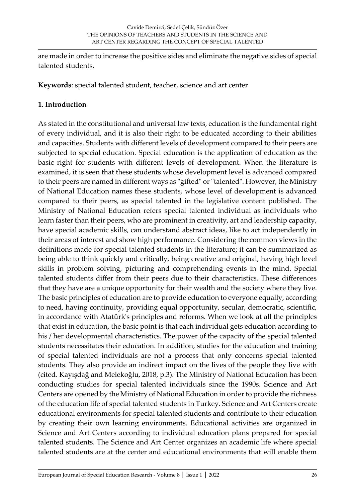are made in order to increase the positive sides and eliminate the negative sides of special talented students.

**Keywords**: special talented student, teacher, science and art center

# **1. Introduction**

As stated in the constitutional and universal law texts, education is the fundamental right of every individual, and it is also their right to be educated according to their abilities and capacities. Students with different levels of development compared to their peers are subjected to special education. Special education is the application of education as the basic right for students with different levels of development. When the literature is examined, it is seen that these students whose development level is advanced compared to their peers are named in different ways as "gifted" or "talented". However, the Ministry of National Education names these students, whose level of development is advanced compared to their peers, as special talented in the legislative content published. The Ministry of National Education refers special talented individual as individuals who learn faster than their peers, who are prominent in creativity, art and leadership capacity, have special academic skills, can understand abstract ideas, like to act independently in their areas of interest and show high performance. Considering the common views in the definitions made for special talented students in the literature; it can be summarized as being able to think quickly and critically, being creative and original, having high level skills in problem solving, picturing and comprehending events in the mind. Special talented students differ from their peers due to their characteristics. These differences that they have are a unique opportunity for their wealth and the society where they live. The basic principles of education are to provide education to everyone equally, according to need, having continuity, providing equal opportunity, secular, democratic, scientific, in accordance with Atatürk's principles and reforms. When we look at all the principles that exist in education, the basic point is that each individual gets education according to his / her developmental characteristics. The power of the capacity of the special talented students necessitates their education. In addition, studies for the education and training of special talented individuals are not a process that only concerns special talented students. They also provide an indirect impact on the lives of the people they live with (cited. Kayışdağ and Melekoğlu, 2018, p.3). The Ministry of National Education has been conducting studies for special talented individuals since the 1990s. Science and Art Centers are opened by the Ministry of National Education in order to provide the richness of the education life of special talented students in Turkey. Science and Art Centers create educational environments for special talented students and contribute to their education by creating their own learning environments. Educational activities are organized in Science and Art Centers according to individual education plans prepared for special talented students. The Science and Art Center organizes an academic life where special talented students are at the center and educational environments that will enable them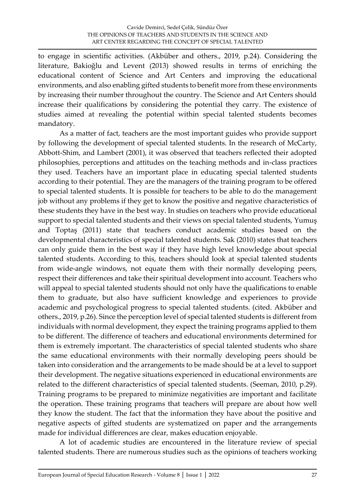to engage in scientific activities. (Akbüber and others., 2019, p.24). Considering the literature, Bakioğlu and Levent (2013) showed results in terms of enriching the educational content of Science and Art Centers and improving the educational environments, and also enabling gifted students to benefit more from these environments by increasing their number throughout the country. The Science and Art Centers should increase their qualifications by considering the potential they carry. The existence of studies aimed at revealing the potential within special talented students becomes mandatory.

As a matter of fact, teachers are the most important guides who provide support by following the development of special talented students. In the research of McCarty, Abbott-Shim, and Lambert (2001), it was observed that teachers reflected their adopted philosophies, perceptions and attitudes on the teaching methods and in-class practices they used. Teachers have an important place in educating special talented students according to their potential. They are the managers of the training program to be offered to special talented students. It is possible for teachers to be able to do the management job without any problems if they get to know the positive and negative characteristics of these students they have in the best way. In studies on teachers who provide educational support to special talented students and their views on special talented students, Yumuş and Toptaş (2011) state that teachers conduct academic studies based on the developmental characteristics of special talented students. Sak (2010) states that teachers can only guide them in the best way if they have high level knowledge about special talented students. According to this, teachers should look at special talented students from wide-angle windows, not equate them with their normally developing peers, respect their differences and take their spiritual development into account. Teachers who will appeal to special talented students should not only have the qualifications to enable them to graduate, but also have sufficient knowledge and experiences to provide academic and psychological progress to special talented students. (cited. Akbüber and others., 2019, p.26). Since the perception level of special talented students is different from individuals with normal development, they expect the training programs applied to them to be different. The difference of teachers and educational environments determined for them is extremely important. The characteristics of special talented students who share the same educational environments with their normally developing peers should be taken into consideration and the arrangements to be made should be at a level to support their development. The negative situations experienced in educational environments are related to the different characteristics of special talented students. (Seeman, 2010, p.29). Training programs to be prepared to minimize negativities are important and facilitate the operation. These training programs that teachers will prepare are about how well they know the student. The fact that the information they have about the positive and negative aspects of gifted students are systematized on paper and the arrangements made for individual differences are clear, makes education enjoyable.

A lot of academic studies are encountered in the literature review of special talented students. There are numerous studies such as the opinions of teachers working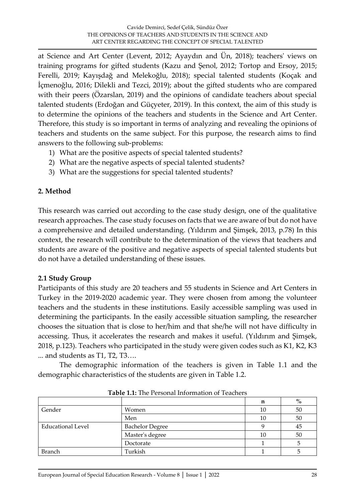at Science and Art Center (Levent, 2012; Ayaydın and Ün, 2018); teachers' views on training programs for gifted students (Kazu and Şenol, 2012; Tortop and Ersoy, 2015; Ferelli, 2019; Kayışdağ and Melekoğlu, 2018); special talented students (Koçak and İçmenoğlu, 2016; Dilekli and Tezci, 2019); about the gifted students who are compared with their peers (Özarslan, 2019) and the opinions of candidate teachers about special talented students (Erdoğan and Güçyeter, 2019). In this context, the aim of this study is to determine the opinions of the teachers and students in the Science and Art Center. Therefore, this study is so important in terms of analyzing and revealing the opinions of teachers and students on the same subject. For this purpose, the research aims to find answers to the following sub-problems:

- 1) What are the positive aspects of special talented students?
- 2) What are the negative aspects of special talented students?
- 3) What are the suggestions for special talented students?

#### **2. Method**

This research was carried out according to the case study design, one of the qualitative research approaches. The case study focuses on facts that we are aware of but do not have a comprehensive and detailed understanding. (Yıldırım and Şimşek, 2013, p.78) In this context, the research will contribute to the determination of the views that teachers and students are aware of the positive and negative aspects of special talented students but do not have a detailed understanding of these issues.

#### **2.1 Study Group**

Participants of this study are 20 teachers and 55 students in Science and Art Centers in Turkey in the 2019-2020 academic year. They were chosen from among the volunteer teachers and the students in these institutions. Easily accessible sampling was used in determining the participants. In the easily accessible situation sampling, the researcher chooses the situation that is close to her/him and that she/he will not have difficulty in accessing. Thus, it accelerates the research and makes it useful. (Yıldırım and Şimşek, 2018, p.123). Teachers who participated in the study were given codes such as K1, K2, K3 ... and students as T1, T2, T3….

The demographic information of the teachers is given in Table 1.1 and the demographic characteristics of the students are given in Table 1.2.

|                          |                        | n  | $\%$   |
|--------------------------|------------------------|----|--------|
| Gender                   | Women                  | 10 | 50     |
|                          | Men                    | 10 | $50\,$ |
| <b>Educational Level</b> | <b>Bachelor Degree</b> |    | 45     |
|                          | Master's degree        | 10 | 50     |
|                          | Doctorate              |    |        |
| <b>Branch</b>            | Turkish                |    |        |

**Table 1.1:** The Personal Information of Teachers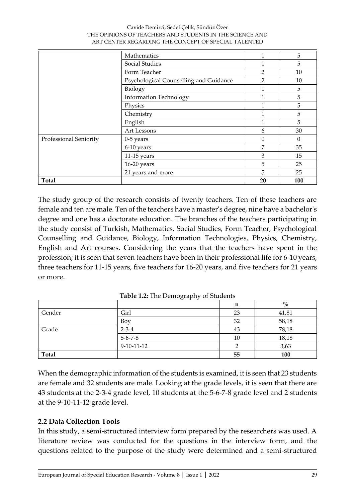#### Cavide Demirci, Sedef Çelik, Sündüz Özer THE OPINIONS OF TEACHERS AND STUDENTS IN THE SCIENCE AND ART CENTER REGARDING THE CONCEPT OF SPECIAL TALENTED

|                        | Mathematics                            |                | 5            |
|------------------------|----------------------------------------|----------------|--------------|
|                        | Social Studies                         | 1              | 5            |
|                        | Form Teacher                           | $\overline{2}$ | 10           |
|                        | Psychological Counselling and Guidance | $\mathfrak{p}$ | 10           |
|                        | Biology                                | 1              | 5            |
|                        | <b>Information Technology</b>          | 1              | 5            |
|                        | Physics                                | 1              | 5            |
|                        | Chemistry                              | 1              | 5            |
|                        | English                                | 1              | 5            |
|                        | Art Lessons                            | 6              | 30           |
| Professional Seniority | $0-5$ years                            | $\theta$       | $\mathbf{0}$ |
|                        | 6-10 years                             | 7              | 35           |
|                        | $11-15$ years                          | 3              | 15           |
|                        | $16-20$ years                          | 5              | 25           |
|                        | 21 years and more                      | 5              | 25           |
| <b>Total</b>           |                                        | 20             | 100          |

The study group of the research consists of twenty teachers. Ten of these teachers are female and ten are male. Ten of the teachers have a master's degree, nine have a bachelor's degree and one has a doctorate education. The branches of the teachers participating in the study consist of Turkish, Mathematics, Social Studies, Form Teacher, Psychological Counselling and Guidance, Biology, Information Technologies, Physics, Chemistry, English and Art courses. Considering the years that the teachers have spent in the profession; it is seen that seven teachers have been in their professional life for 6-10 years, three teachers for 11-15 years, five teachers for 16-20 years, and five teachers for 21 years or more.

|        |                 | n  | $\frac{0}{0}$ |
|--------|-----------------|----|---------------|
| Gender | Girl            | 23 | 41,81         |
|        | Boy             | 32 | 58,18         |
| Grade  | $2 - 3 - 4$     | 43 | 78,18         |
|        | $5 - 6 - 7 - 8$ | 10 | 18,18         |
|        | $9-10-11-12$    |    | 3,63          |
| Total  |                 | 55 | 100           |

**Table 1.2:** The Demography of Students

When the demographic information of the students is examined, it is seen that 23 students are female and 32 students are male. Looking at the grade levels, it is seen that there are 43 students at the 2-3-4 grade level, 10 students at the 5-6-7-8 grade level and 2 students at the 9-10-11-12 grade level.

# **2.2 Data Collection Tools**

In this study, a semi-structured interview form prepared by the researchers was used. A literature review was conducted for the questions in the interview form, and the questions related to the purpose of the study were determined and a semi-structured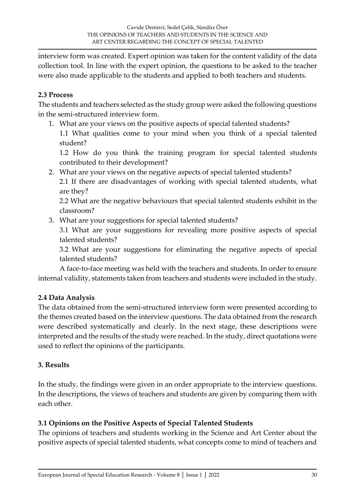interview form was created. Expert opinion was taken for the content validity of the data collection tool. In line with the expert opinion, the questions to be asked to the teacher were also made applicable to the students and applied to both teachers and students.

#### **2.3 Process**

The students and teachers selected as the study group were asked the following questions in the semi-structured interview form.

1. What are your views on the positive aspects of special talented students?

1.1 What qualities come to your mind when you think of a special talented student?

1.2 How do you think the training program for special talented students contributed to their development?

2. What are your views on the negative aspects of special talented students?

2.1 If there are disadvantages of working with special talented students, what are they?

2.2 What are the negative behaviours that special talented students exhibit in the classroom?

3. What are your suggestions for special talented students?

3.1 What are your suggestions for revealing more positive aspects of special talented students?

3.2 What are your suggestions for eliminating the negative aspects of special talented students?

A face-to-face meeting was held with the teachers and students. In order to ensure internal validity, statements taken from teachers and students were included in the study.

# **2.4 Data Analysis**

The data obtained from the semi-structured interview form were presented according to the themes created based on the interview questions. The data obtained from the research were described systematically and clearly. In the next stage, these descriptions were interpreted and the results of the study were reached. In the study, direct quotations were used to reflect the opinions of the participants.

# **3. Results**

In the study, the findings were given in an order appropriate to the interview questions. In the descriptions, the views of teachers and students are given by comparing them with each other.

# **3.1 Opinions on the Positive Aspects of Special Talented Students**

The opinions of teachers and students working in the Science and Art Center about the positive aspects of special talented students, what concepts come to mind of teachers and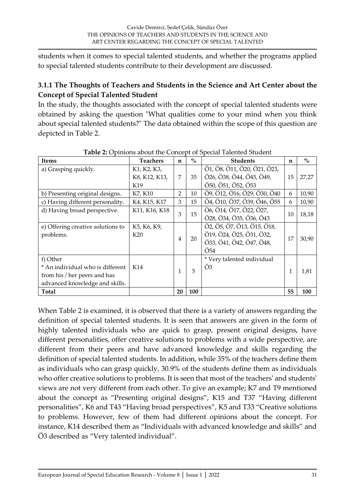students when it comes to special talented students, and whether the programs applied to special talented students contribute to their development are discussed.

# **3.1.1 The Thoughts of Teachers and Students in the Science and Art Center about the Concept of Special Talented Student**

In the study, the thoughts associated with the concept of special talented students were obtained by asking the question "What qualities come to your mind when you think about special talented students?" The data obtained within the scope of this question are depicted in Table 2.

|                                   |                 |                |               | <b>THEIR LET</b> OPHILOID MOORE THE CONCEPT OF OPECIAL THICHICA ORDING |             |               |
|-----------------------------------|-----------------|----------------|---------------|------------------------------------------------------------------------|-------------|---------------|
| <b>Items</b>                      | <b>Teachers</b> | $\mathbf n$    | $\frac{0}{0}$ | <b>Students</b>                                                        | $\mathbf n$ | $\frac{0}{0}$ |
| a) Grasping quickly.              | K1, K2, K3,     |                |               | Ö1, Ö8, Ö11, Ö20, Ö21, Ö23,                                            |             |               |
|                                   | K8, K12, K13,   | $\overline{7}$ | 35            | Ö26, Ö38, Ö44, Ö45, Ö49,                                               | 15          | 27,27         |
|                                   | K19             |                |               | Ö50, Ö51, Ö52, Ö53                                                     |             |               |
| b) Presenting original designs.   | K7, K10         | $\overline{2}$ | 10            | Ö9, Ö12, Ö16, Ö29, Ö30, Ö40                                            | 6           | 10,90         |
| c) Having different personality.  | K4, K15, K17    | 3              | 15            | Ö4, Ö10, Ö37, Ö39, Ö46, Ö55                                            | 6           | 10,90         |
| d) Having broad perspective.      | K11, K16, K18   | 3              | 15            | Ö6, Ö14, Ö17, Ö22, Ö27,                                                | 10          |               |
|                                   |                 |                |               | Ö28, Ö34, Ö35, Ö36, Ö43                                                |             | 18,18         |
| e) Offering creative solutions to | K5, K6, K9,     |                |               | Ö2, Ö5, Ö7, Ö13, Ö15, Ö18,                                             |             |               |
| problems.                         | K <sub>20</sub> | 4              | 20            | Ö19, Ö24, Ö25, Ö31, Ö32,                                               | 17          | 30,90         |
|                                   |                 |                |               | Ö33, Ö41, Ö42, Ö47, Ö48,                                               |             |               |
|                                   |                 |                |               | Ö54                                                                    |             |               |
| f) Other                          |                 |                |               | * Very talented individual                                             |             |               |
| * An individual who is different  | K14             | $\mathbf{1}$   | 5             | Ö <sub>3</sub>                                                         | 1           | 1,81          |
| from his / her peers and has      |                 |                |               |                                                                        |             |               |
| advanced knowledge and skills.    |                 |                |               |                                                                        |             |               |
| <b>Total</b>                      |                 | 20             | 100           |                                                                        | 55          | 100           |

**Table 2:** Opinions about the Concept of Special Talented Student

When Table 2 is examined, it is observed that there is a variety of answers regarding the definition of special talented students. It is seen that answers are given in the form of highly talented individuals who are quick to grasp, present original designs, have different personalities, offer creative solutions to problems with a wide perspective, are different from their peers and have advanced knowledge and skills regarding the definition of special talented students. In addition, while 35% of the teachers define them as individuals who can grasp quickly, 30.9% of the students define them as individuals who offer creative solutions to problems. It is seen that most of the teachers' and students' views are not very different from each other. To give an example; K7 and T9 mentioned about the concept as "Presenting original designs", K15 and T37 "Having different personalities", K6 and T43 "Having broad perspectives", K5 and T33 "Creative solutions to problems. However, few of them had different opinions about the concept. For instance, K14 described them as "Individuals with advanced knowledge and skills" and Ö3 described as "Very talented individual".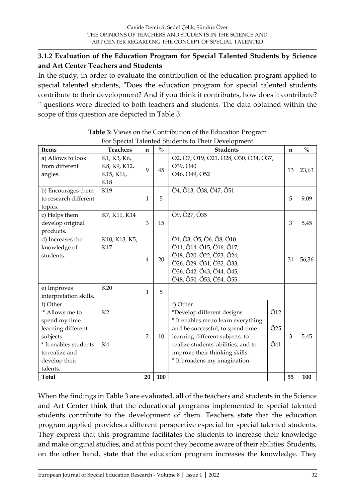#### **3.1.2 Evaluation of the Education Program for Special Talented Students by Science and Art Center Teachers and Students**

In the study, in order to evaluate the contribution of the education program applied to special talented students, "Does the education program for special talented students contribute to their development? And if you think it contributes, how does it contribute? '' questions were directed to both teachers and students. The data obtained within the scope of this question are depicted in Table 3.

| For Special Talented Students to Their Development                                                                                                      |                                                 |                |      |                                                                                                                                                                                                                                                                |                               |             |               |  |
|---------------------------------------------------------------------------------------------------------------------------------------------------------|-------------------------------------------------|----------------|------|----------------------------------------------------------------------------------------------------------------------------------------------------------------------------------------------------------------------------------------------------------------|-------------------------------|-------------|---------------|--|
| Items                                                                                                                                                   | <b>Teachers</b>                                 | $\mathbf n$    | $\%$ | <b>Students</b>                                                                                                                                                                                                                                                |                               | $\mathbf n$ | $\frac{0}{0}$ |  |
| a) Allows to look<br>from different<br>angles.                                                                                                          | K1, K3, K6,<br>K8, K9, K12,<br>K15, K16,<br>K18 | 9              | 45   | Ö2, Ö7, Ö19, Ö21, Ö28, Ö30, Ö34, Ö37,<br>Ö39, Ö40<br>Ö46, Ö49, Ö52                                                                                                                                                                                             |                               | 13          | 23,63         |  |
| b) Encourages them<br>to research different<br>topics.                                                                                                  | K19                                             | 1              | 5    | Ö4, Ö13, Ö38, Ö47, Ö51                                                                                                                                                                                                                                         |                               | 5           | 9,09          |  |
| c) Helps them<br>develop original<br>products.                                                                                                          | K7, K11, K14                                    | 3              | 15   | Ö9, Ö27, Ö35                                                                                                                                                                                                                                                   |                               | 3           | 5,45          |  |
| d) Increases the<br>knowledge of<br>students.                                                                                                           | K10, K13, K5,<br>K17                            | $\overline{4}$ | 20   | Ö1, Ö3, Ö5, Ö6, Ö8, Ö10<br>Ö11, Ö14, Ö15, Ö16, Ö17,<br>Ö18, Ö20, Ö22, Ö23, Ö24,<br>Ö26, Ö29, Ö31, Ö32, Ö33,<br>Ö36, Ö42, Ö43, Ö44, Ö45,<br>Ö48, Ö50, Ö53, Ö54, Ö55                                                                                             |                               | 31          | 56,36         |  |
| e) Improves<br>interpretation skills.                                                                                                                   | K20                                             | 1              | 5    |                                                                                                                                                                                                                                                                |                               |             |               |  |
| f) Other.<br>* Allows me to<br>spend my time<br>learning different<br>subjects.<br>* It enables students<br>to realize and<br>develop their<br>talents. | K <sub>2</sub><br>K4                            | $\overline{2}$ | 10   | f) Other<br>*Develop different designs<br>* It enables me to learn everything<br>and be successful, to spend time<br>learning different subjects, to<br>realize students' abilities, and to<br>improve their thinking skills.<br>* It broadens my imagination. | Ö12<br>Ö <sub>25</sub><br>Ö41 | 3           | 5,45          |  |
| <b>Total</b>                                                                                                                                            |                                                 | 20             | 100  |                                                                                                                                                                                                                                                                |                               | 55          | 100           |  |

| <b>Table 3:</b> Views on the Contribution of the Education Program |  |
|--------------------------------------------------------------------|--|
| For Special Talented Students to Their Development                 |  |

When the findings in Table 3 are evaluated, all of the teachers and students in the Science and Art Center think that the educational programs implemented to special talented students contribute to the development of them. Teachers state that the education program applied provides a different perspective especial for special talented students. They express that this programme facilitates the students to increase their knowledge and make original studies, and at this point they become aware of their abilities. Students, on the other hand, state that the education program increases the knowledge. They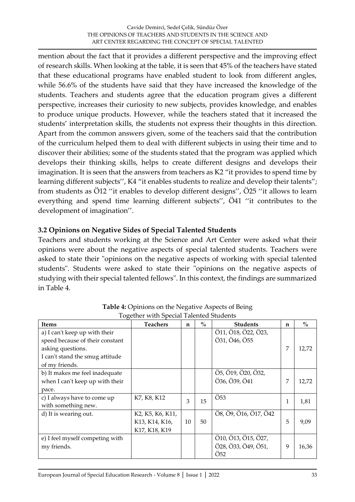mention about the fact that it provides a different perspective and the improving effect of research skills. When looking at the table, it is seen that 45% of the teachers have stated that these educational programs have enabled student to look from different angles, while 56.6% of the students have said that they have increased the knowledge of the students. Teachers and students agree that the education program gives a different perspective, increases their curiosity to new subjects, provides knowledge, and enables to produce unique products. However, while the teachers stated that it increased the students' interpretation skills, the students not express their thoughts in this direction. Apart from the common answers given, some of the teachers said that the contribution of the curriculum helped them to deal with different subjects in using their time and to discover their abilities; some of the students stated that the program was applied which develops their thinking skills, helps to create different designs and develops their imagination. It is seen that the answers from teachers as K2 "it provides to spend time by learning different subjects", K4 "it enables students to realize and develop their talents"; from students as Ö12 ''it enables to develop different designs'', Ö25 ''it allows to learn everything and spend time learning different subjects'', Ö41 ''it contributes to the development of imagination''.

#### **3.2 Opinions on Negative Sides of Special Talented Students**

Teachers and students working at the Science and Art Center were asked what their opinions were about the negative aspects of special talented students. Teachers were asked to state their "opinions on the negative aspects of working with special talented students". Students were asked to state their "opinions on the negative aspects of studying with their special talented fellows". In this context, the findings are summarized in Table 4.

| $\sigma$<br><b>Items</b>                                                                                                                   | <b>Teachers</b>                                                                            | $\mathbf n$ | $\frac{0}{0}$ | <b>Students</b>                                               | n | $\%$  |
|--------------------------------------------------------------------------------------------------------------------------------------------|--------------------------------------------------------------------------------------------|-------------|---------------|---------------------------------------------------------------|---|-------|
| a) I can't keep up with their<br>speed because of their constant<br>asking questions.<br>I can't stand the smug attitude<br>of my friends. |                                                                                            |             |               | Ö11, Ö18, Ö22, Ö23,<br>Ö31, Ö46, Ö55                          | 7 | 12,72 |
| b) It makes me feel inadequate<br>when I can't keep up with their<br>pace.                                                                 |                                                                                            |             |               | Ö5, Ö19, Ö20, Ö32,<br>Ö36, Ö39, Ö41                           | 7 | 12,72 |
| c) I always have to come up<br>with something new.                                                                                         | K7, K8, K12                                                                                | 3           | 15            | $\overline{O53}$                                              | 1 | 1,81  |
| d) It is wearing out.                                                                                                                      | K2, K5, K6, K11,<br>K <sub>13</sub> , K <sub>14</sub> , K <sub>16</sub> ,<br>K17, K18, K19 | 10          | 50            | Ö8, Ö9, Ö16, Ö17, Ö42                                         | 5 | 9,09  |
| e) I feel myself competing with<br>my friends.                                                                                             |                                                                                            |             |               | Ö10, Ö13, Ö15, Ö27,<br>Ö28, Ö33, Ö49, Ö51,<br>Ö <sub>52</sub> | 9 | 16,36 |

**Table 4:** Opinions on the Negative Aspects of Being Together with Special Talented Students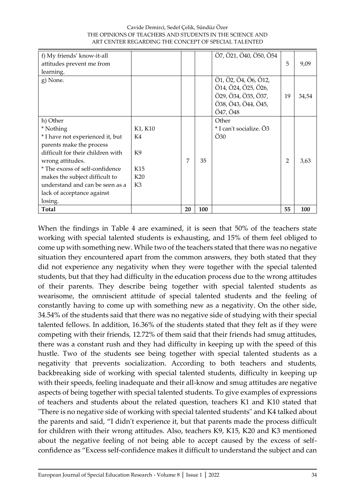|                                                                                                                                                                                                                                                                                                 |                                                                                         |   | ART CENTER REGARDING THE CONCEPT OF SPECIAL TALENTED |                                                                                                       |    |       |  |  |  |  |  |
|-------------------------------------------------------------------------------------------------------------------------------------------------------------------------------------------------------------------------------------------------------------------------------------------------|-----------------------------------------------------------------------------------------|---|------------------------------------------------------|-------------------------------------------------------------------------------------------------------|----|-------|--|--|--|--|--|
| f) My friends' know-it-all<br>attitudes prevent me from<br>learning.                                                                                                                                                                                                                            |                                                                                         |   |                                                      | Ö7, Ö21, Ö40, Ö50, Ö54                                                                                | 5  | 9,09  |  |  |  |  |  |
| g) None.                                                                                                                                                                                                                                                                                        |                                                                                         |   |                                                      | Ö1, Ö2, Ö4, Ö6, Ö12,<br>Ö14, Ö24, Ö25, Ö26,<br>Ö29, Ö34, Ö35, Ö37,<br>Ö38, Ö43, Ö44, Ö45,<br>Ö47, Ö48 | 19 | 34,54 |  |  |  |  |  |
| h) Other<br>* Nothing<br>* I have not experienced it, but<br>parents make the process<br>difficult for their children with<br>wrong attitudes.<br>* The excess of self-confidence<br>makes the subject difficult to<br>understand and can be seen as a<br>lack of acceptance against<br>losing. | K1, K10<br>K4<br>K <sub>9</sub><br>K <sub>15</sub><br>K <sub>20</sub><br>K <sub>3</sub> | 7 | 35                                                   | Other<br>* I can't socialize. Ö3<br>$\ddot{\mathrm{O}}30$                                             | 2  | 3,63  |  |  |  |  |  |

**Total 20 100 55 100**

# Cavide Demirci, Sedef Çelik, Sündüz Özer THE OPINIONS OF TEACHERS AND STUDENTS IN THE SCIENCE AND

When the findings in Table 4 are examined, it is seen that 50% of the teachers state working with special talented students is exhausting, and 15% of them feel obliged to come up with something new. While two of the teachers stated that there was no negative situation they encountered apart from the common answers, they both stated that they did not experience any negativity when they were together with the special talented students, but that they had difficulty in the education process due to the wrong attitudes of their parents. They describe being together with special talented students as wearisome, the omniscient attitude of special talented students and the feeling of constantly having to come up with something new as a negativity. On the other side, 34.54% of the students said that there was no negative side of studying with their special talented fellows. In addition, 16.36% of the students stated that they felt as if they were competing with their friends, 12.72% of them said that their friends had smug attitudes, there was a constant rush and they had difficulty in keeping up with the speed of this hustle. Two of the students see being together with special talented students as a negativity that prevents socialization. According to both teachers and students, backbreaking side of working with special talented students, difficulty in keeping up with their speeds, feeling inadequate and their all-know and smug attitudes are negative aspects of being together with special talented students. To give examples of expressions of teachers and students about the related question, teachers K1 and K10 stated that "There is no negative side of working with special talented students" and K4 talked about the parents and said, "I didn't experience it, but that parents made the process difficult for children with their wrong attitudes. Also, teachers K9, K15, K20 and K3 mentioned about the negative feeling of not being able to accept caused by the excess of selfconfidence as "Excess self-confidence makes it difficult to understand the subject and can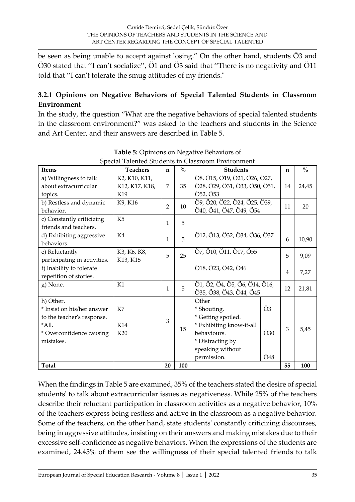be seen as being unable to accept against losing." On the other hand, students Ö3 and Ö30 stated that ''I can't socialize'', Ö1 and Ö3 said that ''There is no negativity and Ö11 told that ''I can't tolerate the smug attitudes of my friends."

# **3.2.1 Opinions on Negative Behaviors of Special Talented Students in Classroom Environment**

In the study, the question "What are the negative behaviors of special talented students in the classroom environment?" was asked to the teachers and students in the Science and Art Center, and their answers are described in Table 5.

| <b>Items</b>                 | <b>Teachers</b> | $\mathbf n$    | $\frac{0}{0}$ | <b>Students</b>               |     | $\mathbf n$ | $\frac{0}{0}$ |
|------------------------------|-----------------|----------------|---------------|-------------------------------|-----|-------------|---------------|
| a) Willingness to talk       | K2, K10, K11,   |                |               | Ö8, Ö15, Ö19, Ö21, Ö26, Ö27,  |     |             |               |
| about extracurricular        | K12, K17, K18,  | 7              | 35            | Ö28, Ö29, Ö31, Ö33, Ö50, Ö51, |     | 14          | 24,45         |
| topics.                      | K19             |                |               | Ö52, Ö53                      |     |             |               |
| b) Restless and dynamic      | K9, K16         | $\overline{2}$ | 10            | Ö9, Ö20, Ö22, Ö24, Ö25, Ö39,  |     | 11          | 20            |
| behavior.                    |                 |                |               | Ö40, Ö41, Ö47, Ö49, Ö54       |     |             |               |
| c) Constantly criticizing    | K <sub>5</sub>  | $\mathbf{1}$   | 5             |                               |     |             |               |
| friends and teachers.        |                 |                |               |                               |     |             |               |
| d) Exhibiting aggressive     | K4              | $\mathbf{1}$   | 5             | Ö12, Ö13, Ö32, Ö34, Ö36, Ö37  |     | 6           | 10,90         |
| behaviors.                   |                 |                |               |                               |     |             |               |
| e) Reluctantly               | K3, K6, K8,     | 5              | 25            | Ö7, Ö10, Ö11, Ö17, Ö55        |     | 5           | 9,09          |
| participating in activities. | K13, K15        |                |               |                               |     |             |               |
| f) Inability to tolerate     |                 |                |               | Ö18, Ö23, Ö42, Ö46            |     | 4           | 7,27          |
| repetition of stories.       |                 |                |               |                               |     |             |               |
| g) None.                     | K1              | $\mathbf{1}$   | 5             | Ö1, Ö2, Ö4, Ö5, Ö6, Ö14, Ö16, |     | 12          | 21,81         |
|                              |                 |                |               | Ö35, Ö38, Ö43, Ö44, Ö45       |     |             |               |
| h) Other.                    |                 |                |               | Other                         |     |             |               |
| * Insist on his/her answer   | K7              |                |               | * Shouting.                   | Ö3  |             |               |
| to the teacher's response.   |                 | 3              |               | * Getting spoiled.            |     |             |               |
| *All.                        | K14             |                | 15            | * Exhibiting know-it-all      |     | 3           | 5,45          |
| * Overconfidence causing     | K20             |                |               | behaviours.                   | Ö30 |             |               |
| mistakes.                    |                 |                |               | * Distracting by              |     |             |               |
|                              |                 |                |               | speaking without              |     |             |               |
|                              |                 |                |               | permission.                   | Ö48 |             |               |
| <b>Total</b>                 |                 | 20             | 100           |                               |     | 55          | 100           |

**Table 5:** Opinions on Negative Behaviors of Special Talented Students in Classroom Environment

When the findings in Table 5 are examined, 35% of the teachers stated the desire of special students' to talk about extracurricular issues as negativeness. While 25% of the teachers describe their reluctant participation in classroom activities as a negative behavior, 10% of the teachers express being restless and active in the classroom as a negative behavior. Some of the teachers, on the other hand, state students' constantly criticizing discourses, being in aggressive attitudes, insisting on their answers and making mistakes due to their excessive self-confidence as negative behaviors. When the expressions of the students are examined, 24.45% of them see the willingness of their special talented friends to talk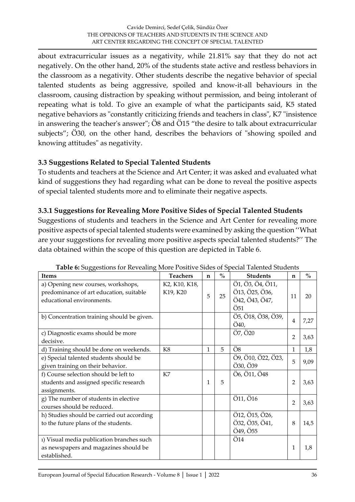about extracurricular issues as a negativity, while 21.81% say that they do not act negatively. On the other hand, 20% of the students state active and restless behaviors in the classroom as a negativity. Other students describe the negative behavior of special talented students as being aggressive, spoiled and know-it-all behaviours in the classroom, causing distraction by speaking without permission, and being intolerant of repeating what is told. To give an example of what the participants said, K5 stated negative behaviors as "constantly criticizing friends and teachers in class", K7 "insistence in answering the teacher's answer"; Ö8 and Ö15 "the desire to talk about extracurricular subjects"; Ö30, on the other hand, describes the behaviors of "showing spoiled and knowing attitudes" as negativity.

#### **3.3 Suggestions Related to Special Talented Students**

To students and teachers at the Science and Art Center; it was asked and evaluated what kind of suggestions they had regarding what can be done to reveal the positive aspects of special talented students more and to eliminate their negative aspects.

#### **3.3.1 Suggestions for Revealing More Positive Sides of Special Talented Students**

Suggestions of students and teachers in the Science and Art Center for revealing more positive aspects of special talented students were examined by asking the question ''What are your suggestions for revealing more positive aspects special talented students?'' The data obtained within the scope of this question are depicted in Table 6.

| le di suppositorio foi fit cuality filore i contre siuco oi special functiteu stu<br><b>Items</b>          | <b>Teachers</b>           | $\mathbf n$ | $\frac{0}{0}$ | <b>Students</b>                                             | $\mathbf n$    | $\frac{0}{0}$ |
|------------------------------------------------------------------------------------------------------------|---------------------------|-------------|---------------|-------------------------------------------------------------|----------------|---------------|
| a) Opening new courses, workshops,<br>predominance of art education, suitable<br>educational environments. | K2, K10, K18,<br>K19, K20 | 5           | 25            | Ö1, Ö3, Ö4, Ö11,<br>Ö13, Ö25, Ö36,<br>Ö42, Ö43, Ö47,<br>Ö51 | 11             | 20            |
| b) Concentration training should be given.                                                                 |                           |             |               | Ö5, Ö18, Ö38, Ö39,<br>Ö40,                                  | $\overline{4}$ | 7,27          |
| c) Diagnostic exams should be more<br>decisive.                                                            |                           |             |               | Ö7, Ö20                                                     | $\overline{2}$ | 3,63          |
| d) Training should be done on weekends.                                                                    | K8                        | 1           | 5             | Ö8                                                          | $\mathbf{1}$   | 1,8           |
| e) Special talented students should be<br>given training on their behavior.                                |                           |             |               | Ö9, Ö10, Ö22, Ö23,<br>Ö30, Ö39                              | 5              | 9,09          |
| f) Course selection should be left to<br>students and assigned specific research<br>assignments.           | K7                        | 1           | 5             | Ö6, Ö11, Ö48                                                | $\overline{2}$ | 3,63          |
| g) The number of students in elective<br>courses should be reduced.                                        |                           |             |               | Ö11, Ö16                                                    | $\overline{2}$ | 3,63          |
| h) Studies should be carried out according<br>to the future plans of the students.                         |                           |             |               | Ö12, Ö15, Ö26,<br>Ö32, Ö35, Ö41,<br>Ö49, Ö55                | 8              | 14,5          |
| 1) Visual media publication branches such<br>as newspapers and magazines should be<br>established.         |                           |             |               | Ö14                                                         | $\mathbf{1}$   | 1,8           |

**Table 6:** Suggestions for Revealing More Positive Sides of Special Talented Students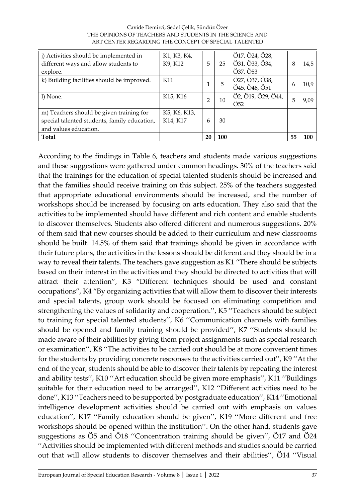| j) Activities should be implemented in<br>different ways and allow students to<br>explore.                        | K1, K3, K4,<br>K9, K12   | 5  | 25  | Ö17, Ö24, Ö28,<br>Ö31, Ö33, Ö34,<br>Ö37, Ö53        | 8  | 14,5 |
|-------------------------------------------------------------------------------------------------------------------|--------------------------|----|-----|-----------------------------------------------------|----|------|
| k) Building facilities should be improved.                                                                        | K11                      |    | 5   | Ö27, Ö37, Ö38,<br>Ö45, Ö46, Ö51                     | 6  | 10,9 |
| l) None.                                                                                                          | K15, K16                 | 2  | 10  | $\overline{O2}$ , Ö19, Ö29, Ö44,<br>Ö <sub>52</sub> | 5  | 9,09 |
| m) Teachers should be given training for<br>special talented students, family education,<br>and values education. | K5, K6, K13,<br>K14, K17 | 6  | 30  |                                                     |    |      |
| Total                                                                                                             |                          | 20 | 100 |                                                     | 55 | 100  |

Cavide Demirci, Sedef Çelik, Sündüz Özer THE OPINIONS OF TEACHERS AND STUDENTS IN THE SCIENCE AND ART CENTER REGARDING THE CONCEPT OF SPECIAL TALENTED

According to the findings in Table 6, teachers and students made various suggestions and these suggestions were gathered under common headings. 30% of the teachers said that the trainings for the education of special talented students should be increased and that the families should receive training on this subject. 25% of the teachers suggested that appropriate educational environments should be increased, and the number of workshops should be increased by focusing on arts education. They also said that the activities to be implemented should have different and rich content and enable students to discover themselves. Students also offered different and numerous suggestions. 20% of them said that new courses should be added to their curriculum and new classrooms should be built. 14.5% of them said that trainings should be given in accordance with their future plans, the activities in the lessons should be different and they should be in a way to reveal their talents. The teachers gave suggestion as K1 "There should be subjects based on their interest in the activities and they should be directed to activities that will attract their attention", K3 "Different techniques should be used and constant occupations", K4 "By organizing activities that will allow them to discover their interests and special talents, group work should be focused on eliminating competition and strengthening the values of solidarity and cooperation.'', K5 ''Teachers should be subject to training for special talented students'', K6 ''Communication channels with families should be opened and family training should be provided'', K7 ''Students should be made aware of their abilities by giving them project assignments such as special research or examination'', K8 ''The activities to be carried out should be at more convenient times for the students by providing concrete responses to the activities carried out'', K9 ''At the end of the year, students should be able to discover their talents by repeating the interest and ability tests'', K10 ''Art education should be given more emphasis'', K11 ''Buildings suitable for their education need to be arranged'', K12 ''Different activities need to be done'', K13 ''Teachers need to be supported by postgraduate education'', K14 ''Emotional intelligence development activities should be carried out with emphasis on values education'', K17 ''Family education should be given'', K19 ''More different and free workshops should be opened within the institution''. On the other hand, students gave suggestions as Ö5 and Ö18 ''Concentration training should be given'', Ö17 and Ö24 ''Activities should be implemented with different methods and studies should be carried out that will allow students to discover themselves and their abilities'', Ö14 ''Visual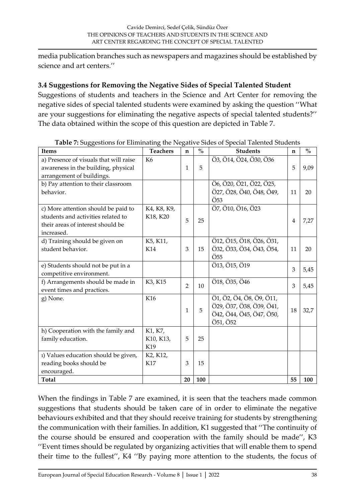media publication branches such as newspapers and magazines should be established by science and art centers.''

# **3.4 Suggestions for Removing the Negative Sides of Special Talented Student**

Suggestions of students and teachers in the Science and Art Center for removing the negative sides of special talented students were examined by asking the question ''What are your suggestions for eliminating the negative aspects of special talented students?'' The data obtained within the scope of this question are depicted in Table 7.

| <b>Items</b>                           | <b>Teachers</b> | n              | $\mathbf{0}_{\mathbf{0}}^{\prime}$ | <b>Students</b>          | n  | $\mathbf{0}_{\mathbf{0}}^{\prime}$ |
|----------------------------------------|-----------------|----------------|------------------------------------|--------------------------|----|------------------------------------|
| a) Presence of visuals that will raise | K <sub>6</sub>  |                |                                    | Ö3, Ö14, Ö24, Ö30, Ö36   |    |                                    |
| awareness in the building, physical    |                 | 1              | 5                                  |                          | 5  | 9,09                               |
| arrangement of buildings.              |                 |                |                                    |                          |    |                                    |
| b) Pay attention to their classroom    |                 |                |                                    | Ö6, Ö20, Ö21, Ö22, Ö25,  |    |                                    |
| behavior.                              |                 |                |                                    | Ö27, Ö28, Ö40, Ö48, Ö49, | 11 | 20                                 |
|                                        |                 |                |                                    | Ö <sub>53</sub>          |    |                                    |
| c) More attention should be paid to    | K4, K8, K9,     |                |                                    | Ö7, Ö10, Ö16, Ö23        |    |                                    |
| students and activities related to     | K18, K20        | 5              | 25                                 |                          | 4  | 7,27                               |
| their areas of interest should be      |                 |                |                                    |                          |    |                                    |
| increased.                             |                 |                |                                    |                          |    |                                    |
| d) Training should be given on         | K5, K11,        |                |                                    | Ö12, Ö15, Ö18, Ö26, Ö31, |    |                                    |
| student behavior.                      | K14             | 3              | 15                                 | Ö32, Ö33, Ö34, Ö43, Ö54, | 11 | 20                                 |
|                                        |                 |                |                                    | $\ddot{\text{O}}55$      |    |                                    |
| e) Students should not be put in a     |                 |                |                                    | Ö13, Ö15, Ö19            | 3  | 5,45                               |
| competitive environment.               |                 |                |                                    |                          |    |                                    |
| f) Arrangements should be made in      | K3, K15         | $\overline{2}$ | 10                                 | Ö18, Ö35, Ö46            | 3  | 5,45                               |
| event times and practices.             |                 |                |                                    |                          |    |                                    |
| g) None.                               | K16             |                |                                    | Ö1, Ö2, Ö4, Ö8, Ö9, Ö11, |    |                                    |
|                                        |                 | 1              | 5                                  | Ö29, Ö37, Ö38, Ö39, Ö41, | 18 | 32,7                               |
|                                        |                 |                |                                    | Ö42, Ö44, Ö45, Ö47, Ö50, |    |                                    |
|                                        |                 |                |                                    | Ö51, Ö52                 |    |                                    |
| h) Cooperation with the family and     | K1, K7,         |                |                                    |                          |    |                                    |
| family education.                      | K10, K13,       | 5              | 25                                 |                          |    |                                    |
|                                        | K19             |                |                                    |                          |    |                                    |
| 1) Values education should be given,   | K2, K12,        |                |                                    |                          |    |                                    |
| reading books should be                | K17             | 3              | 15                                 |                          |    |                                    |
| encouraged.                            |                 |                |                                    |                          |    |                                    |
| <b>Total</b>                           |                 | 20             | 100                                |                          | 55 | 100                                |

| Table 7: Suggestions for Eliminating the Negative Sides of Special Talented Students |  |  |
|--------------------------------------------------------------------------------------|--|--|
|                                                                                      |  |  |
|                                                                                      |  |  |

When the findings in Table 7 are examined, it is seen that the teachers made common suggestions that students should be taken care of in order to eliminate the negative behaviours exhibited and that they should receive training for students by strengthening the communication with their families. In addition, K1 suggested that ''The continuity of the course should be ensured and cooperation with the family should be made'', K3 ''Event times should be regulated by organizing activities that will enable them to spend their time to the fullest'', K4 ''By paying more attention to the students, the focus of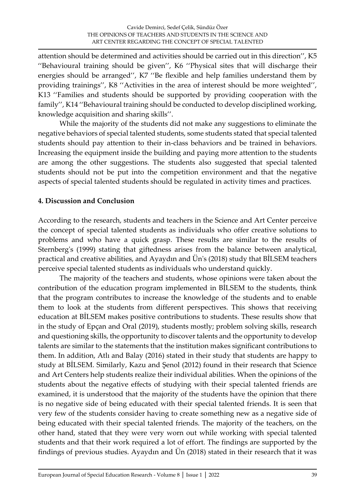attention should be determined and activities should be carried out in this direction'', K5 ''Behavioural training should be given'', K6 ''Physical sites that will discharge their energies should be arranged'', K7 ''Be flexible and help families understand them by providing trainings'', K8 ''Activities in the area of interest should be more weighted'', K13 ''Families and students should be supported by providing cooperation with the family'', K14 ''Behavioural training should be conducted to develop disciplined working, knowledge acquisition and sharing skills''.

While the majority of the students did not make any suggestions to eliminate the negative behaviors of special talented students, some students stated that special talented students should pay attention to their in-class behaviors and be trained in behaviors. Increasing the equipment inside the building and paying more attention to the students are among the other suggestions. The students also suggested that special talented students should not be put into the competition environment and that the negative aspects of special talented students should be regulated in activity times and practices.

#### **4. Discussion and Conclusion**

According to the research, students and teachers in the Science and Art Center perceive the concept of special talented students as individuals who offer creative solutions to problems and who have a quick grasp. These results are similar to the results of Sternberg's (1999) stating that giftedness arises from the balance between analytical, practical and creative abilities, and Ayaydın and Ün's (2018) study that BİLSEM teachers perceive special talented students as individuals who understand quickly.

The majority of the teachers and students, whose opinions were taken about the contribution of the education program implemented in BİLSEM to the students, think that the program contributes to increase the knowledge of the students and to enable them to look at the students from different perspectives. This shows that receiving education at BİLSEM makes positive contributions to students. These results show that in the study of Epçan and Oral (2019), students mostly; problem solving skills, research and questioning skills, the opportunity to discover talents and the opportunity to develop talents are similar to the statements that the institution makes significant contributions to them. In addition, Atlı and Balay (2016) stated in their study that students are happy to study at BİLSEM. Similarly, Kazu and Şenol (2012) found in their research that Science and Art Centers help students realize their individual abilities. When the opinions of the students about the negative effects of studying with their special talented friends are examined, it is understood that the majority of the students have the opinion that there is no negative side of being educated with their special talented friends. It is seen that very few of the students consider having to create something new as a negative side of being educated with their special talented friends. The majority of the teachers, on the other hand, stated that they were very worn out while working with special talented students and that their work required a lot of effort. The findings are supported by the findings of previous studies. Ayaydın and Ün (2018) stated in their research that it was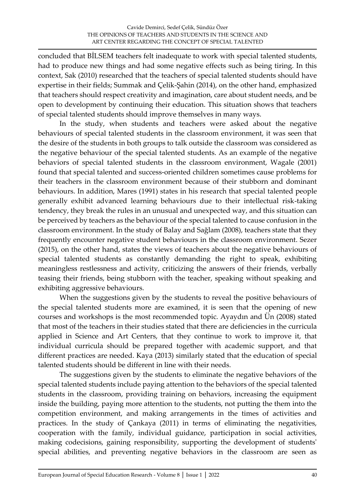concluded that BİLSEM teachers felt inadequate to work with special talented students, had to produce new things and had some negative effects such as being tiring. In this context, Sak (2010) researched that the teachers of special talented students should have expertise in their fields; Summak and Çelik-Şahin (2014), on the other hand, emphasized that teachers should respect creativity and imagination, care about student needs, and be open to development by continuing their education. This situation shows that teachers of special talented students should improve themselves in many ways.

In the study, when students and teachers were asked about the negative behaviours of special talented students in the classroom environment, it was seen that the desire of the students in both groups to talk outside the classroom was considered as the negative behaviour of the special talented students. As an example of the negative behaviors of special talented students in the classroom environment, Wagale (2001) found that special talented and success-oriented children sometimes cause problems for their teachers in the classroom environment because of their stubborn and dominant behaviours. In addition, Mares (1991) states in his research that special talented people generally exhibit advanced learning behaviours due to their intellectual risk-taking tendency, they break the rules in an unusual and unexpected way, and this situation can be perceived by teachers as the behaviour of the special talented to cause confusion in the classroom environment. In the study of Balay and Sağlam (2008), teachers state that they frequently encounter negative student behaviours in the classroom environment. Sezer (2015), on the other hand, states the views of teachers about the negative behaviours of special talented students as constantly demanding the right to speak, exhibiting meaningless restlessness and activity, criticizing the answers of their friends, verbally teasing their friends, being stubborn with the teacher, speaking without speaking and exhibiting aggressive behaviours.

When the suggestions given by the students to reveal the positive behaviours of the special talented students more are examined, it is seen that the opening of new courses and workshops is the most recommended topic. Ayaydın and Ün (2008) stated that most of the teachers in their studies stated that there are deficiencies in the curricula applied in Science and Art Centers, that they continue to work to improve it, that individual curricula should be prepared together with academic support, and that different practices are needed. Kaya (2013) similarly stated that the education of special talented students should be different in line with their needs.

The suggestions given by the students to eliminate the negative behaviors of the special talented students include paying attention to the behaviors of the special talented students in the classroom, providing training on behaviors, increasing the equipment inside the building, paying more attention to the students, not putting the them into the competition environment, and making arrangements in the times of activities and practices. In the study of Çankaya (2011) in terms of eliminating the negativities, cooperation with the family, individual guidance, participation in social activities, making codecisions, gaining responsibility, supporting the development of students' special abilities, and preventing negative behaviors in the classroom are seen as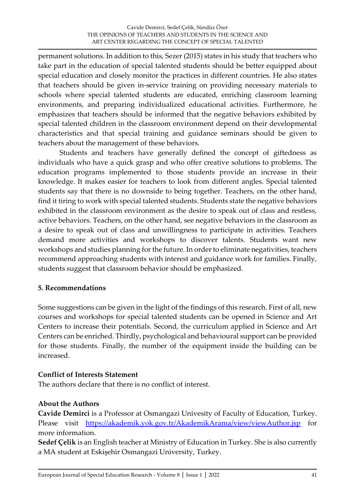permanent solutions. In addition to this, Sezer (2015) states in his study that teachers who take part in the education of special talented students should be better equipped about special education and closely monitor the practices in different countries. He also states that teachers should be given in-service training on providing necessary materials to schools where special talented students are educated, enriching classroom learning environments, and preparing individualized educational activities. Furthermore, he emphasizes that teachers should be informed that the negative behaviors exhibited by special talented children in the classroom environment depend on their developmental characteristics and that special training and guidance seminars should be given to teachers about the management of these behaviors.

Students and teachers have generally defined the concept of giftedness as individuals who have a quick grasp and who offer creative solutions to problems. The education programs implemented to those students provide an increase in their knowledge. It makes easier for teachers to look from different angles. Special talented students say that there is no downside to being together. Teachers, on the other hand, find it tiring to work with special talented students. Students state the negative behaviors exhibited in the classroom environment as the desire to speak out of class and restless, active behaviors. Teachers, on the other hand, see negative behaviors in the classroom as a desire to speak out of class and unwillingness to participate in activities. Teachers demand more activities and workshops to discover talents. Students want new workshops and studies planning for the future. In order to eliminate negativities, teachers recommend approaching students with interest and guidance work for families. Finally, students suggest that classroom behavior should be emphasized.

#### **5. Recommendations**

Some suggestions can be given in the light of the findings of this research. First of all, new courses and workshops for special talented students can be opened in Science and Art Centers to increase their potentials. Second, the curriculum applied in Science and Art Centers can be enriched. Thirdly, psychological and behavioural support can be provided for those students. Finally, the number of the equipment inside the building can be increased.

#### **Conflict of Interests Statement**

The authors declare that there is no conflict of interest.

#### **About the Authors**

**Cavide Demirci** is a Professor at Osmangazi Univesity of Faculty of Education, Turkey. Please visit <https://akademik.yok.gov.tr/AkademikArama/view/viewAuthor.jsp> for more information.

**Sedef Çelik** is an English teacher at Ministry of Education in Turkey. She is also currently a MA student at Eskişehir Osmangazi University, Turkey.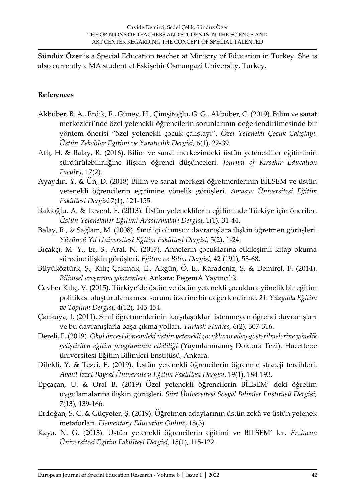**Sündüz Özer** is a Special Education teacher at Ministry of Education in Turkey. She is also currently a MA student at Eskişehir Osmangazi University, Turkey.

#### **References**

- Akbüber, B. A., Erdik, E., Güney, H., Çimşitoğlu, G. G., Akbüber, C. (2019). Bilim ve sanat merkezleri'nde özel yetenekli öğrencilerin sorunlarının değerlendirilmesinde bir yöntem önerisi "özel yetenekli çocuk çalıştayı". *Özel Yetenekli Çocuk Çalıştayı. Üstün Zekalılar Eğitimi ve Yaratıcılık Dergisi*, 6(1), 22-39.
- Atlı, H. & Balay, R. (2016). Bilim ve sanat merkezindeki üstün yetenekliler eğitiminin sürdürülebilirliğine ilişkin öğrenci düşünceleri. *Journal of Kırşehir Education Faculty*, 17(2).
- Ayaydın, Y. & Ün, D. (2018) Bilim ve sanat merkezi öğretmenlerinin BİLSEM ve üstün yetenekli öğrencilerin eğitimine yönelik görüşleri. *Amasya Üniversitesi Eğitim Fakültesi Dergisi* 7(1), 121-155.
- Bakioğlu, A. & Levent, F. (2013). Üstün yeteneklilerin eğitiminde Türkiye için öneriler. *Üstün Yetenekliler Eğitimi Araştırmaları Dergisi*, 1(1), 31-44.
- Balay, R., & Sağlam, M. (2008). Sınıf içi olumsuz davranışlara ilişkin öğretmen görüşleri. *Yüzüncü Yıl Üniversitesi Eğitim Fakültesi Dergisi*, 5(2), 1-24.
- Bıçakçı, M. Y., Er, S., Aral, N. (2017). Annelerin çocuklarına etkileşimli kitap okuma sürecine ilişkin görüşleri. *Eğitim ve Bilim Dergisi*, 42 (191), 53-68.
- Büyüköztürk, Ş., Kılıç Çakmak, E., Akgün, Ö. E., Karadeniz, Ş. & Demirel, F. (2014). *Bilimsel araştırma yöntemleri*. Ankara: PegemA Yayıncılık.
- Cevher Kılıç, V. (2015). Türkiye'de üstün ve üstün yetenekli çocuklara yönelik bir eğitim politikası oluşturulamaması sorunu üzerine bir değerlendirme. *21. Yüzyılda Eğitim ve Toplum Dergisi*, 4(12), 145-154.
- Çankaya, İ. (2011). Sınıf öğretmenlerinin karşılaştıkları istenmeyen öğrenci davranışları ve bu davranışlarla başa çıkma yolları. *Turkish Studies,* 6(2), 307-316.
- Dereli, F. (2019). *Okul öncesi dönemdeki üstün yetenekli çocukların aday gösterilmelerine yönelik geliştirilen eğitim programının etkililiği* (Yayınlanmamış Doktora Tezi). Hacettepe üniversitesi Eğitim Bilimleri Enstitüsü, Ankara.
- Dilekli, Y. & Tezci, E. (2019). Üstün yetenekli öğrencilerin öğrenme strateji tercihleri. *Abant İzzet Baysal Üniversitesi Eğitim Fakültesi Dergisi*, 19(1), 184-193.
- Epçaçan, U. & Oral B. (2019) Özel yetenekli öğrencilerin BİLSEM' deki öğretim uygulamalarına ilişkin görüşleri*. Siirt Üniversitesi Sosyal Bilimler Enstitüsü Dergisi,* 7(13), 139-166.
- Erdoğan, S. C. & Güçyeter, Ş. (2019). Öğretmen adaylarının üstün zekâ ve üstün yetenek metaforları. *Elementary Education Online*, 18(3).
- Kaya, N. G. (2013). Üstün yetenekli öğrencilerin eğitimi ve BİLSEM' ler. *Erzincan Üniversitesi Eğitim Fakültesi Dergisi,* 15(1), 115-122.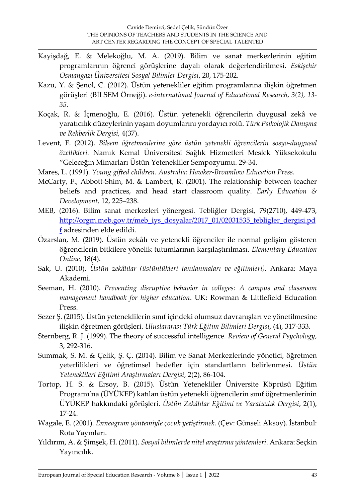- Kayişdağ, E. & Melekoğlu, M. A. (2019). Bilim ve sanat merkezlerinin eğitim programlarının öğrenci görüşlerine dayalı olarak değerlendirilmesi. *Eskişehir Osmangazi Üniversitesi Sosyal Bilimler Dergisi*, 20, 175-202.
- Kazu, Y. & Şenol, C. (2012). Üstün yetenekliler eğitim programlarına ilişkin öğretmen görüşleri (BİLSEM Örneği). *e-international Journal of Educational Research, 3(2), 13- 35.*
- Koçak, R. & İçmenoğlu, E. (2016). Üstün yetenekli öğrencilerin duygusal zekâ ve yaratıcılık düzeylerinin yaşam doyumlarını yordayıcı rolü. *Türk Psikolojik Danışma ve Rehberlik Dergisi,* 4(37).
- Levent, F. (2012). *Bilsem öğretmenlerine göre üstün yetenekli öğrencilerin sosyo-duygusal özellikleri.* Namık Kemal Üniversitesi Sağlık Hizmetleri Meslek Yüksekokulu "Geleceğin Mimarları Üstün Yetenekliler Sempozyumu. 29-34.
- Mares, L. (1991). *Young gifted children. Australia: Hawker-Brownlow Education Press.*
- McCarty, F., Abbott-Shim, M. & Lambert, R. (2001). The relationship between teacher beliefs and practices, and head start classroom quality. *Early Education & Development,* 12, 225–238.
- MEB, (2016). Bilim sanat merkezleri yönergesi. Tebliğler Dergisi, 79(2710), 449-473, [http://orgm.meb.gov.tr/meb\\_iys\\_dosyalar/2017\\_01/02031535\\_tebligler\\_dergisi.pd](http://orgm.meb.gov.tr/meb_iys_dosyalar/2017_01/02031535_tebligler_dergisi.pdf) [f](http://orgm.meb.gov.tr/meb_iys_dosyalar/2017_01/02031535_tebligler_dergisi.pdf) adresinden elde edildi.
- Özarslan, M. (2019). Üstün zekâlı ve yetenekli öğrenciler ile normal gelişim gösteren öğrencilerin bitkilere yönelik tutumlarının karşılaştırılması. *Elementary Education Online,* 18(4).
- Sak, U. (2010). *Üstün zekâlılar (üstünlükleri tanılanmaları ve eğitimleri).* Ankara: Maya Akademi.
- Seeman, H. (2010). *Preventing disruptive behavior in colleges: A campus and classroom management handbook for higher education*. UK: Rowman & Littlefield Education Press.
- Sezer Ş. (2015). Üstün yeteneklilerin sınıf içindeki olumsuz davranışları ve yönetilmesine ilişkin öğretmen görüşleri. *Uluslararası Türk Eğitim Bilimleri Dergisi*, (4), 317-333.
- Sternberg, R. J. (1999). The theory of successful intelligence. *Review of General Psychology,* 3, 292-316.
- Summak, S. M. & Çelik, Ş. Ç. (2014). Bilim ve Sanat Merkezlerinde yönetici, öğretmen yeterlilikleri ve öğretimsel hedefler için standartların belirlenmesi. *Üstün Yeteneklileri Eğitimi Araştırmaları Dergisi*, 2(2), 86-104.
- Tortop, H. S. & Ersoy, B. (2015). Üstün Yetenekliler Üniversite Köprüsü Eğitim Programı'na (ÜYÜKEP) katılan üstün yetenekli öğrencilerin sınıf öğretmenlerinin ÜYÜKEP hakkındaki görüşleri. *Üstün Zekâlılar Eğitimi ve Yaratıcılık Dergisi*, 2(1), 17-24.
- Wagale, E. (2001). *Enneagram yöntemiyle çocuk yetiştirmek*. (Çev: Günseli Aksoy). İstanbul: Rota Yayınları.
- Yıldırım, A. & Şimşek, H. (2011). *Sosyal bilimlerde nitel araştırma yöntemleri*. Ankara: Seçkin Yayıncılık.